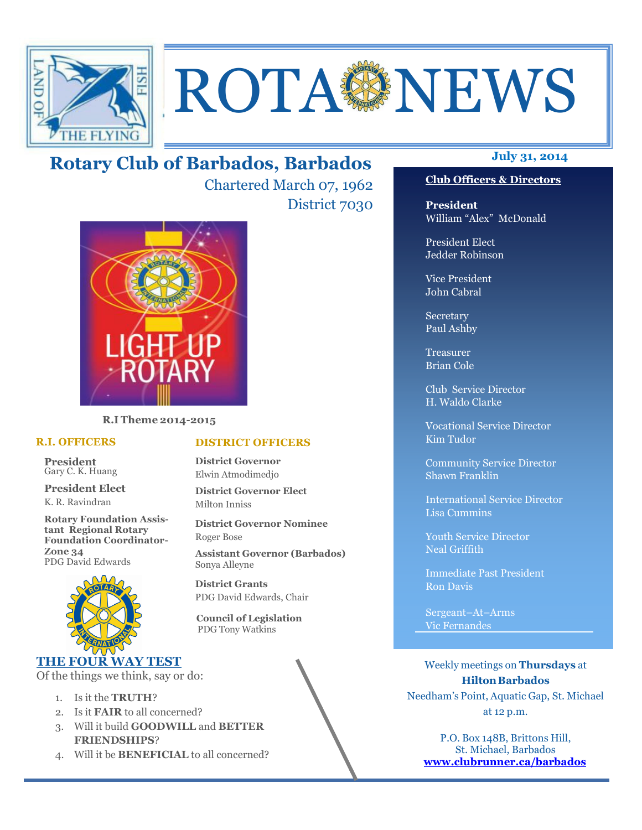

# **ROTA NEWS**

# **July 31, 2014 Rotary Club of Barbados, Barbados**

Chartered March 07, 1962 District 7030



**R.I Theme 2014-2015** 

#### **R.I. OFFICERS**

**President** Gary C. K. Huang

**President Elect** K. R. Ravindran

**Rotary Foundation Assistant Regional Rotary Foundation Coordinator-Zone 34**  PDG David Edwards



### **THE FOUR WAY TEST**

Of the things we think, say or do:

- 1. Is it the **TRUTH**?
- 2. Is it **FAIR** to all concerned?
- 3. Will it build **GOODWILL** and **BETTER FRIENDSHIPS**?
- 4. Will it be **BENEFICIAL** to all concerned?

#### **Club Officers & Directors**

**President** William "Alex" McDonald

President Elect Jedder Robinson

Vice President John Cabral

Secretary Paul Ashby

Treasurer Brian Cole

Club Service Director H. Waldo Clarke

Vocational Service Director Kim Tudor

Community Service Director Shawn Franklin

International Service Director Lisa Cummins

Youth Service Director Neal Griffith

Immediate Past President Ron Davis

Sergeant–At–Arms Vic Fernandes

Weekly meetings on **Thursdays** at **Hilton Barbados** Needham's Point, Aquatic Gap, St. Michael at 12 p.m.

P.O. Box 148B, Brittons Hill, St. Michael, Barbados **www.clubrunner.ca/barbados**

#### **DISTRICT OFFICERS**

**District Governor** Elwin Atmodimedjo

**District Governor Elect** Milton Inniss

**District Governor Nominee**  Roger Bose

**Assistant Governor (Barbados)** Sonya Alleyne

**District Grants**  PDG David Edwards, Chair

 **Council of Legislation**  PDG Tony Watkins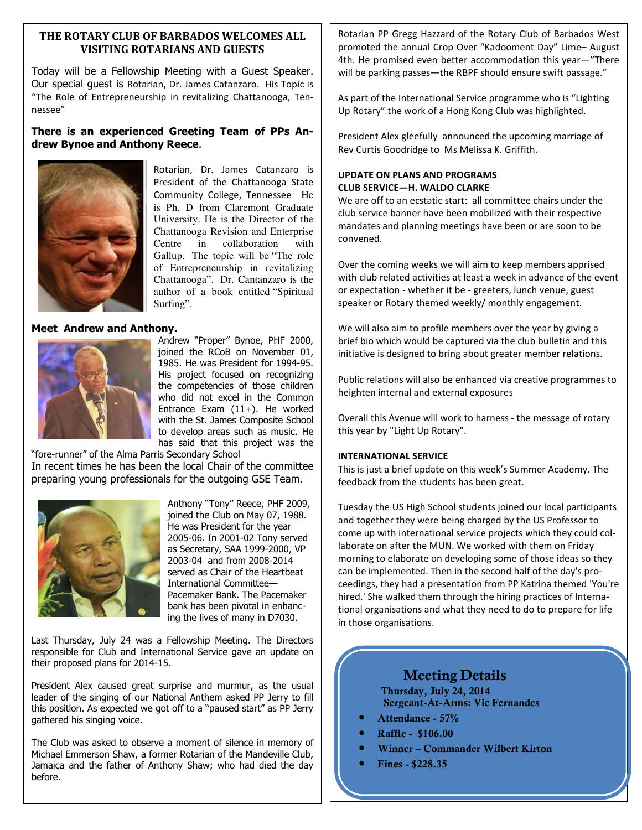#### **THE ROTARY CLUB OF BARBADOS WELCOMES ALL VISITING ROTARIANS AND GUESTS**

Today will be a Fellowship Meeting with a Guest Speaker. Our special guest is Rotarian, Dr. James Catanzaro. His Topic is "The Role of Entrepreneurship in revitalizing Chattanooga, Tennessee"

#### **There is an experienced Greeting Team of PPs Andrew Bynoe and Anthony Reece**.



Rotarian, Dr. James Catanzaro is President of the Chattanooga State Community College, Tennessee He is Ph. D from Claremont Graduate University. He is the Director of the Chattanooga Revision and Enterprise Centre in collaboration with Gallup. The topic will be "The role of Entrepreneurship in revitalizing Chattanooga". Dr. Cantanzaro is the author of a book entitled "Spiritual Surfing".

#### **Meet Andrew and Anthony.**



Andrew "Proper" Bynoe, PHF 2000, joined the RCoB on November 01, 1985. He was President for 1994-95. His project focused on recognizing the competencies of those children who did not excel in the Common Entrance Exam (11+). He worked with the St. James Composite School to develop areas such as music. He has said that this project was the

"fore-runner" of the Alma Parris Secondary School In recent times he has been the local Chair of the committee preparing young professionals for the outgoing GSE Team.



Anthony "Tony" Reece, PHF 2009, joined the Club on May 07, 1988. He was President for the year 2005-06. In 2001-02 Tony served as Secretary, SAA 1999-2000, VP 2003-04 and from 2008-2014 served as Chair of the Heartbeat International Committee— Pacemaker Bank. The Pacemaker bank has been pivotal in enhancing the lives of many in D7030.

Last Thursday, July 24 was a Fellowship Meeting. The Directors responsible for Club and International Service gave an update on their proposed plans for 2014-15.

President Alex caused great surprise and murmur, as the usual leader of the singing of our National Anthem asked PP Jerry to fill this position. As expected we got off to a "paused start" as PP Jerry gathered his singing voice.

The Club was asked to observe a moment of silence in memory of Michael Emmerson Shaw, a former Rotarian of the Mandeville Club, Jamaica and the father of Anthony Shaw; who had died the day before.

Rotarian PP Gregg Hazzard of the Rotary Club of Barbados West promoted the annual Crop Over "Kadooment Day" Lime– August 4th. He promised even better accommodation this year—"There will be parking passes—the RBPF should ensure swift passage."

As part of the International Service programme who is "Lighting Up Rotary" the work of a Hong Kong Club was highlighted.

President Alex gleefully announced the upcoming marriage of Rev Curtis Goodridge to Ms Melissa K. Griffith.

#### **UPDATE ON PLANS AND PROGRAMS CLUB SERVICE—H. WALDO CLARKE**

We are off to an ecstatic start: all committee chairs under the club service banner have been mobilized with their respective mandates and planning meetings have been or are soon to be convened.

Over the coming weeks we will aim to keep members apprised with club related activities at least a week in advance of the event or expectation - whether it be - greeters, lunch venue, guest speaker or Rotary themed weekly/ monthly engagement.

We will also aim to profile members over the year by giving a brief bio which would be captured via the club bulletin and this initiative is designed to bring about greater member relations.

Public relations will also be enhanced via creative programmes to heighten internal and external exposures

Overall this Avenue will work to harness - the message of rotary this year by "Light Up Rotary".

#### **INTERNATIONAL SERVICE**

This is just a brief update on this week's Summer Academy. The feedback from the students has been great.

Tuesday the US High School students joined our local participants and together they were being charged by the US Professor to come up with international service projects which they could collaborate on after the MUN. We worked with them on Friday morning to elaborate on developing some of those ideas so they can be implemented. Then in the second half of the day's proceedings, they had a presentation from PP Katrina themed 'You're hired.' She walked them through the hiring practices of International organisations and what they need to do to prepare for life in those organisations.

# **Meeting Details**

**Thursday, July 24, 2014 Sergeant-At-Arms: Vic Fernandes** 

- **Attendance 57%**
- **Raffle \$106.00**
- **Winner Commander Wilbert Kirton**
- **Fines \$228.35**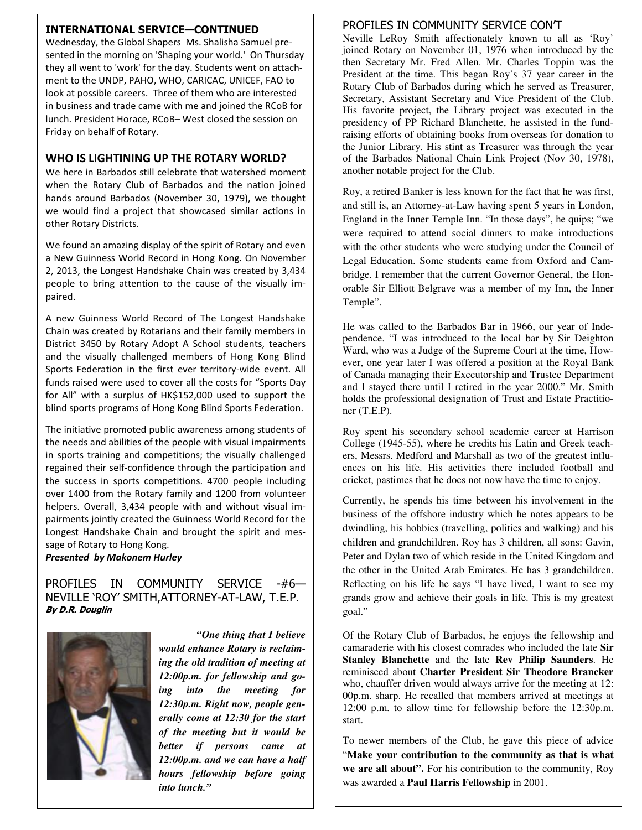#### **INTERNATIONAL SERVICE—CONTINUED**

Wednesday, the Global Shapers Ms. Shalisha Samuel presented in the morning on 'Shaping your world.' On Thursday they all went to 'work' for the day. Students went on attachment to the UNDP, PAHO, WHO, CARICAC, UNICEF, FAO to look at possible careers. Three of them who are interested in business and trade came with me and joined the RCoB for lunch. President Horace, RCoB– West closed the session on Friday on behalf of Rotary.

#### **WHO IS LIGHTINING UP THE ROTARY WORLD?**

We here in Barbados still celebrate that watershed moment when the Rotary Club of Barbados and the nation joined hands around Barbados (November 30, 1979), we thought we would find a project that showcased similar actions in other Rotary Districts.

We found an amazing display of the spirit of Rotary and even a New Guinness World Record in Hong Kong. On November 2, 2013, the Longest Handshake Chain was created by 3,434 people to bring attention to the cause of the visually impaired.

A new Guinness World Record of The Longest Handshake Chain was created by Rotarians and their family members in District 3450 by Rotary Adopt A School students, teachers and the visually challenged members of Hong Kong Blind Sports Federation in the first ever territory-wide event. All funds raised were used to cover all the costs for "Sports Day for All" with a surplus of HK\$152,000 used to support the blind sports programs of Hong Kong Blind Sports Federation.

The initiative promoted public awareness among students of the needs and abilities of the people with visual impairments in sports training and competitions; the visually challenged regained their self-confidence through the participation and the success in sports competitions. 4700 people including over 1400 from the Rotary family and 1200 from volunteer helpers. Overall, 3,434 people with and without visual impairments jointly created the Guinness World Record for the Longest Handshake Chain and brought the spirit and message of Rotary to Hong Kong.

#### *Presented by Makonem Hurley*

#### PROFILES IN COMMUNITY SERVICE -#6-NEVILLE 'ROY' SMITH,ATTORNEY-AT-LAW, T.E.P. **By D.R. Douglin**



*"One thing that I believe would enhance Rotary is reclaiming the old tradition of meeting at 12:00p.m. for fellowship and going into the meeting for 12:30p.m. Right now, people generally come at 12:30 for the start of the meeting but it would be better if persons came at 12:00p.m. and we can have a half hours fellowship before going into lunch."* 

#### PROFILES IN COMMUNITY SERVICE CON'T

Neville LeRoy Smith affectionately known to all as 'Roy' joined Rotary on November 01, 1976 when introduced by the then Secretary Mr. Fred Allen. Mr. Charles Toppin was the President at the time. This began Roy's 37 year career in the Rotary Club of Barbados during which he served as Treasurer, Secretary, Assistant Secretary and Vice President of the Club. His favorite project, the Library project was executed in the presidency of PP Richard Blanchette, he assisted in the fundraising efforts of obtaining books from overseas for donation to the Junior Library. His stint as Treasurer was through the year of the Barbados National Chain Link Project (Nov 30, 1978), another notable project for the Club.

Roy, a retired Banker is less known for the fact that he was first, and still is, an Attorney-at-Law having spent 5 years in London, England in the Inner Temple Inn. "In those days", he quips; "we were required to attend social dinners to make introductions with the other students who were studying under the Council of Legal Education. Some students came from Oxford and Cambridge. I remember that the current Governor General, the Honorable Sir Elliott Belgrave was a member of my Inn, the Inner Temple".

He was called to the Barbados Bar in 1966, our year of Independence. "I was introduced to the local bar by Sir Deighton Ward, who was a Judge of the Supreme Court at the time, However, one year later I was offered a position at the Royal Bank of Canada managing their Executorship and Trustee Department and I stayed there until I retired in the year 2000." Mr. Smith holds the professional designation of Trust and Estate Practitioner (T.E.P).

Roy spent his secondary school academic career at Harrison College (1945-55), where he credits his Latin and Greek teachers, Messrs. Medford and Marshall as two of the greatest influences on his life. His activities there included football and cricket, pastimes that he does not now have the time to enjoy.

Currently, he spends his time between his involvement in the business of the offshore industry which he notes appears to be dwindling, his hobbies (travelling, politics and walking) and his children and grandchildren. Roy has 3 children, all sons: Gavin, Peter and Dylan two of which reside in the United Kingdom and the other in the United Arab Emirates. He has 3 grandchildren. Reflecting on his life he says "I have lived, I want to see my grands grow and achieve their goals in life. This is my greatest goal."

Of the Rotary Club of Barbados, he enjoys the fellowship and camaraderie with his closest comrades who included the late **Sir Stanley Blanchette** and the late **Rev Philip Saunders**. He reminisced about **Charter President Sir Theodore Brancker** who, chauffer driven would always arrive for the meeting at 12: 00p.m. sharp. He recalled that members arrived at meetings at 12:00 p.m. to allow time for fellowship before the 12:30p.m. start.

To newer members of the Club, he gave this piece of advice "**Make your contribution to the community as that is what we are all about".** For his contribution to the community, Roy was awarded a **Paul Harris Fellowship** in 2001.